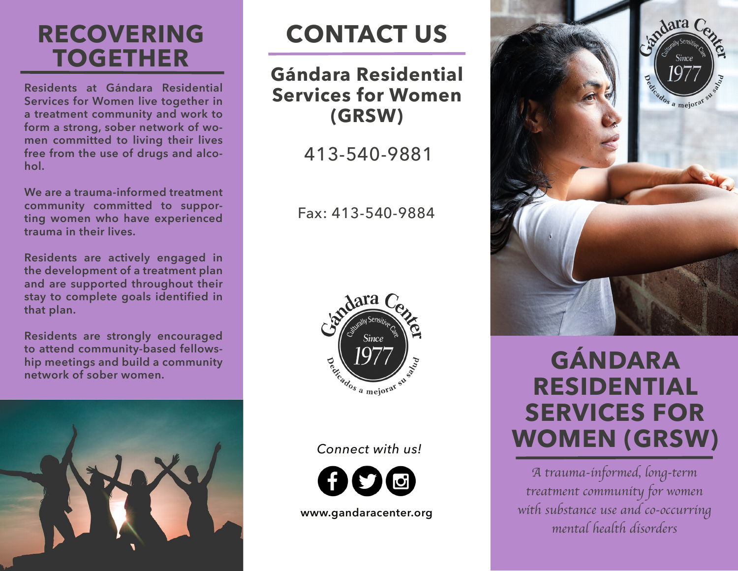## **RECOVERING TOGETHER**

**Residents at Gándara Residential Services for Women live together in a treatment community and work to form a strong, sober network of women committed to living their lives free from the use of drugs and alcohol.** 

**We are a trauma-informed treatment community committed to supporting women who have experienced trauma in their lives.** 

**Residents are actively engaged in the development of a treatment plan and are supported throughout their stay to complete goals identified in that plan.** 

**Residents are strongly encouraged to attend community-based fellowship meetings and build a community network of sober women.** 



# **CONTACT US**

#### **Gándara Residential Services for Women (GRSW)**

413-540-9881

Fax: 413-540-9884



#### *Connect with us!*



**www.gandaracenter.org**



## **GÁNDARA RESIDENTIAL SERVICES FOR WOMEN (GRSW)**

*A trauma-informed, long-term treatment community for women with substance use and co-occurring mental health disorders*